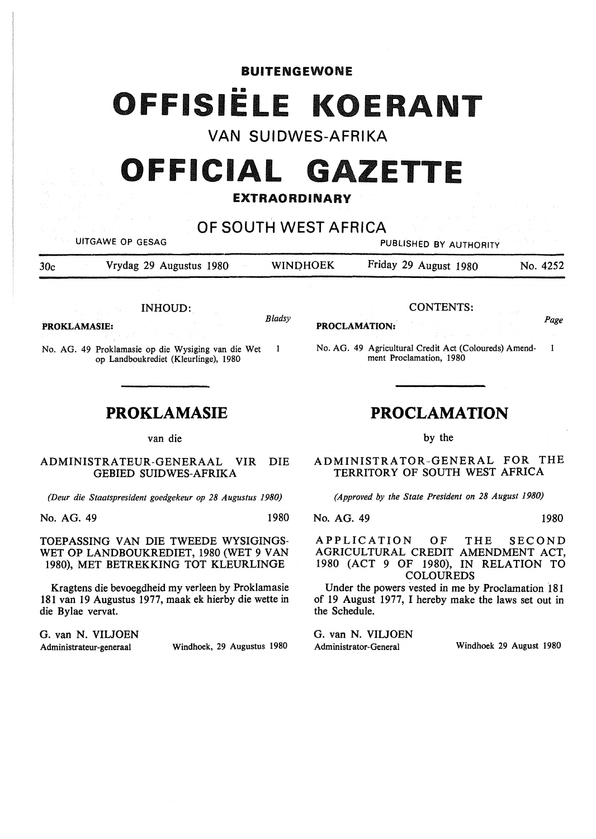### BUITENGEWONE

# OFFISIELE KOERANT

**VAN SUIDWES-AFRIKA** 

## **OFFICIAL GAZETTE**

### **EXTRAORDINARY**

## **OF SOUTH WEST AFRICA**

UITGAWE OP GESAG **PUBLISHED BY AUTHORITY** 

30c Vrydag 29 Augustus 1980 WINOHOEK Friday 29 August 1980 No. 4252

INHOUD:

**PROKLAMASIE:**  *Bladsy* 

 $\mathbf{1}$ No. AG. 49 Proklamasie op die Wysiging van die Wet op Landboukrediet (Kleurlinge), 1980

## **PROKLAMASIE**

van die

#### ADMINISTRATEUR-GENERAAL VIR DIE GEBIED SUIDWES-AFRIKA

*(Deur die Staatspresident goedgekeur op 28 Augustus 1980)* 

No. AG. 49 1980

TOEPASSING VAN DIE TWEEDE WYSIGINGS-WET OP LANDBOUKREDIET, 1980 (WET 9 VAN 1980), MET BETREKKING TOT KLEURLINGE

Kragtens die bevoegdheid my verleen by Proklamasie 181 van 19 Augustus 1977, maak ek hierby die wette in die Bylae vervat.

G. van N. VILJOEN

Administrateur-generaal Windhoek, 29 Augustus 1980

CONTENTS:

**PROCLAMATION:** *Page* 

No. AG. 49 Agricultural Credit Act (Coloureds) Amend- I ment Proclamation, 1980

## **PROCLAMATION**

by the

ADMINISTRATOR-GENERAL FOR THE TERRITORY OF SOUTH WEST AFRICA

*(Approved by the State President on 28 August 1980)* 

No. AG. 49 1980

APPLICATION OF THE SECOND AGRICULTURAL CREDIT AMENDMENT ACT, 1980 (ACT 9 OF 1980), IN RELATION TO COLOUREDS

Under the powers vested in me by Proclamation 181 of 19 August 1977, I hereby make the laws set out in the Schedule.

G. van N. VIUOEN

Administrator-General Windhoek 29 August 1980